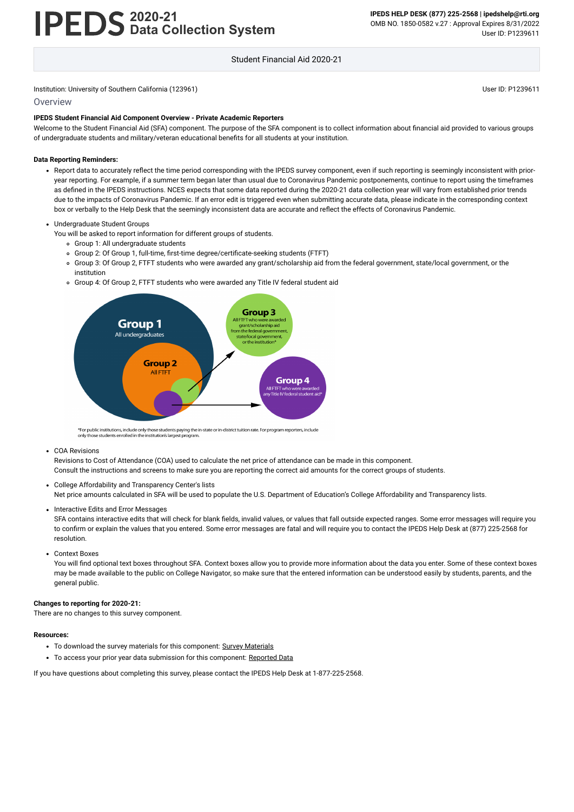# **2020-21 Data Collection System**

**IPEDS HELP DESK (877) 225-2568 | ipedshelp@rti.org** OMB NO. 1850-0582 v.27 : Approval Expires 8/31/2022 User ID: P1239611

Student Financial Aid 2020-21

#### Institution: University of Southern California (123961) Notice and Southern California (123961) User ID: P1239611

#### **Overview**

#### **IPEDS Student Financial Aid Component Overview - Private Academic Reporters**

Welcome to the Student Financial Aid (SFA) component. The purpose of the SFA component is to collect information about financial aid provided to various groups of undergraduate students and military/veteran educational benefits for all students at your institution.

#### **Data Reporting Reminders:**

Report data to accurately reflect the time period corresponding with the IPEDS survey component, even if such reporting is seemingly inconsistent with prioryear reporting. For example, if a summer term began later than usual due to Coronavirus Pandemic postponements, continue to report using the timeframes as defined in the IPEDS instructions. NCES expects that some data reported during the 2020-21 data collection year will vary from established prior trends due to the impacts of Coronavirus Pandemic. If an error edit is triggered even when submitting accurate data, please indicate in the corresponding context box or verbally to the Help Desk that the seemingly inconsistent data are accurate and reflect the effects of Coronavirus Pandemic.

SFA contains interactive edits that will check for blank fields, invalid values, or values that fall outside expected ranges. Some error messages will require you to confirm or explain the values that you entered. Some error messages are fatal and will require you to contact the IPEDS Help Desk at (877) 225-2568 for resolution.

#### Undergraduate Student Groups

You will be asked to report information for different groups of students.

You will find optional text boxes throughout SFA. Context boxes allow you to provide more information about the data you enter. Some of these context boxes may be made available to the public on College Navigator, so make sure that the entered information can be understood easily by students, parents, and the general public.

- Group 1: All undergraduate students
- Group 2: Of Group 1, full-time, first-time degree/certificate-seeking students (FTFT)
- Group 3: Of Group 2, FTFT students who were awarded any grant/scholarship aid from the federal government, state/local government, or the institution
- Group 4: Of Group 2, FTFT students who were awarded any Title IV federal student aid



\*For public institutions, include only those students paying the in-state or in-district tuition rate. For program reporters, include only those students enrolled in the institution's largest program

COA Revisions

Revisions to Cost of Attendance (COA) used to calculate the net price of attendance can be made in this component. Consult the instructions and screens to make sure you are reporting the correct aid amounts for the correct groups of students.

College Affordability and Transparency Center's lists

Net price amounts calculated in SFA will be used to populate the U.S. Department of Education's College Affordability and Transparency lists.

• Interactive Edits and Error Messages

Context Boxes

#### **Changes to reporting for 2020-21:**

There are no changes to this survey component.

#### **Resources:**

- To download the survey materials for this component: Survey [Materials](https://surveys.nces.ed.gov/ipeds/public/survey-materials/index)
- To access your prior year data submission for this component: [Reported Data](https://surveys.nces.ed.gov/IPEDS_py/DataForms.aspx?f0e9e4efc4dfb8acadaeb4b1aca1eef0edf1e0f4c4dfb8b2a1f0eee0edc4dfb8cbacadaeb4b1acaca1f0e9e4efc9dce8e0b8d0e9e4f1e0edeee4eff49beae19bceeaf0efe3e0ede99bbedce7e4e1eaede9e4dca1ebedeadee0eeeeb8e0f3efe0ede9dce7a1eddfefb8adaaacabaaadabadac9bb1b5abb0b5b0ac9bcbc8)

If you have questions about completing this survey, please contact the IPEDS Help Desk at 1-877-225-2568.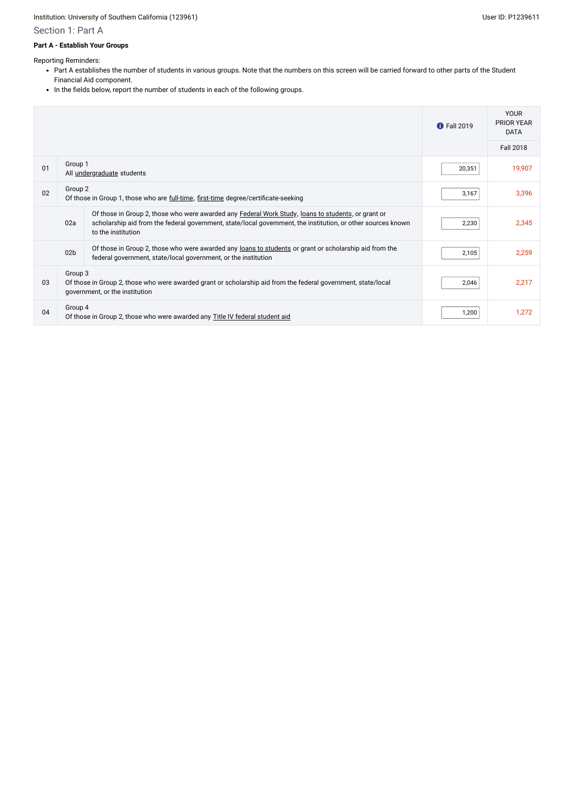- Part A establishes the number of students in various groups. Note that the numbers on this screen will be carried forward to other parts of the Student Financial Aid component.
- In the fields below, report the number of students in each of the following groups.

#### Institution: University of Southern California (123961) and the USE of Contract of Contract of Contract of Contract of Contract of Contract of Contract of Contract of Contract of Contract of Contract of Contract of Contrac

## Section 1: Part A

#### **Part A - Establish Your Groups**

Reporting Reminders:

|    |                                                                                                |                                                                                                                                                                                                                                                  | <b>1</b> Fall 2019 | <b>YOUR</b><br><b>PRIOR YEAR</b><br><b>DATA</b> |
|----|------------------------------------------------------------------------------------------------|--------------------------------------------------------------------------------------------------------------------------------------------------------------------------------------------------------------------------------------------------|--------------------|-------------------------------------------------|
|    |                                                                                                |                                                                                                                                                                                                                                                  |                    | <b>Fall 2018</b>                                |
| 01 | Group 1                                                                                        | All <i>undergraduate</i> students                                                                                                                                                                                                                | 20,351             | 19,907                                          |
| 02 | Group 2<br>Of those in Group 1, those who are full-time, first-time degree/certificate-seeking |                                                                                                                                                                                                                                                  |                    | 3,396                                           |
|    | 02a                                                                                            | Of those in Group 2, those who were awarded any <b>Federal Work Study</b> , loans to students, or grant or<br>scholarship aid from the federal government, state/local government, the institution, or other sources known<br>to the institution | 2,230              | 2,345                                           |
|    | 02 <sub>b</sub>                                                                                | Of those in Group 2, those who were awarded any loans to students or grant or scholarship aid from the<br>federal government, state/local government, or the institution                                                                         | 2,105              | 2,259                                           |
| 03 | Group 3                                                                                        | Of those in Group 2, those who were awarded grant or scholarship aid from the federal government, state/local<br>government, or the institution                                                                                                  | 2,046              | 2,217                                           |
| 04 | Group 4                                                                                        | Of those in Group 2, those who were awarded any Title IV federal student aid                                                                                                                                                                     | 1,200              | 1,272                                           |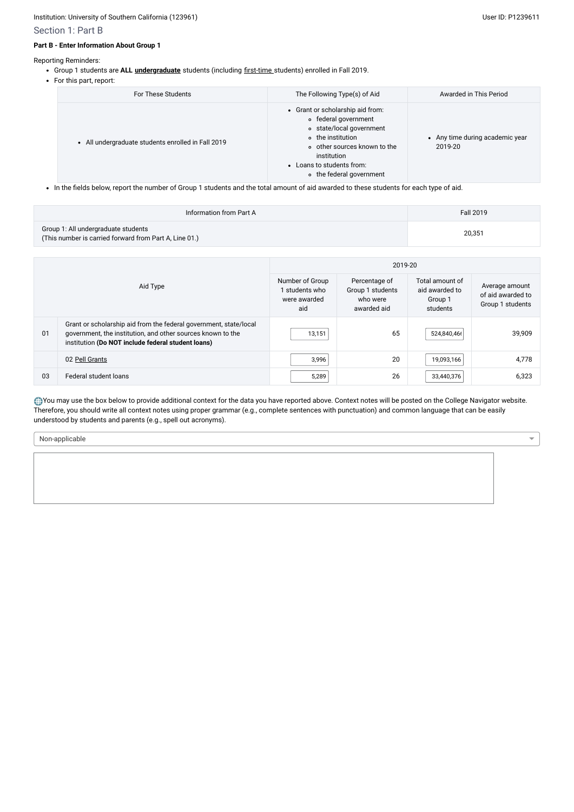- Group 1 students are **ALL [undergraduate](javascript:openglossary(677))** students (including [first-time](javascript:openglossary(241)) students) enrolled in Fall 2019.
- For this part, report:

### Section 1: Part B

#### **Part B - Enter Information About Group 1**

Reporting Reminders:

| For These Students                                 | The Following Type(s) of Aid                                                                                                                                                                                      | Awarded in This Period                     |
|----------------------------------------------------|-------------------------------------------------------------------------------------------------------------------------------------------------------------------------------------------------------------------|--------------------------------------------|
| • All undergraduate students enrolled in Fall 2019 | • Grant or scholarship aid from:<br>• federal government<br>o state/local government<br>o the institution<br>o other sources known to the<br>institution<br>• Loans to students from:<br>o the federal government | • Any time during academic year<br>2019-20 |

• In the fields below, report the number of Group 1 students and the total amount of aid awarded to these students for each type of aid.

| Information from Part A                                                                       | Fall 2019 |
|-----------------------------------------------------------------------------------------------|-----------|
| Group 1: All undergraduate students<br>(This number is carried forward from Part A, Line 01.) | 20,351    |

You may use the box below to provide additional context for the data you have reported above. Context notes will be posted on the College Navigator website. Therefore, you should write all context notes using proper grammar (e.g., complete sentences with punctuation) and common language that can be easily understood by students and parents (e.g., spell out acronyms).

| Aid Type |                                                                                                                                                                                        | 2019-20                                                |                                                              |                                                          |                                                         |  |
|----------|----------------------------------------------------------------------------------------------------------------------------------------------------------------------------------------|--------------------------------------------------------|--------------------------------------------------------------|----------------------------------------------------------|---------------------------------------------------------|--|
|          |                                                                                                                                                                                        | Number of Group<br>students who<br>were awarded<br>aid | Percentage of<br>Group 1 students<br>who were<br>awarded aid | Total amount of<br>aid awarded to<br>Group 1<br>students | Average amount<br>of aid awarded to<br>Group 1 students |  |
| 01       | Grant or scholarship aid from the federal government, state/local<br>government, the institution, and other sources known to the<br>institution (Do NOT include federal student loans) | 13,151                                                 | 65                                                           | 524,840,46                                               | 39,909                                                  |  |
|          | 02 Pell Grants                                                                                                                                                                         | 3,996                                                  | 20                                                           | 19,093,166                                               | 4,778                                                   |  |
| 03       | Federal student loans                                                                                                                                                                  | 5,289                                                  | 26                                                           | 33,440,376                                               | 6,323                                                   |  |

Non-applicable

 $\blacktriangledown$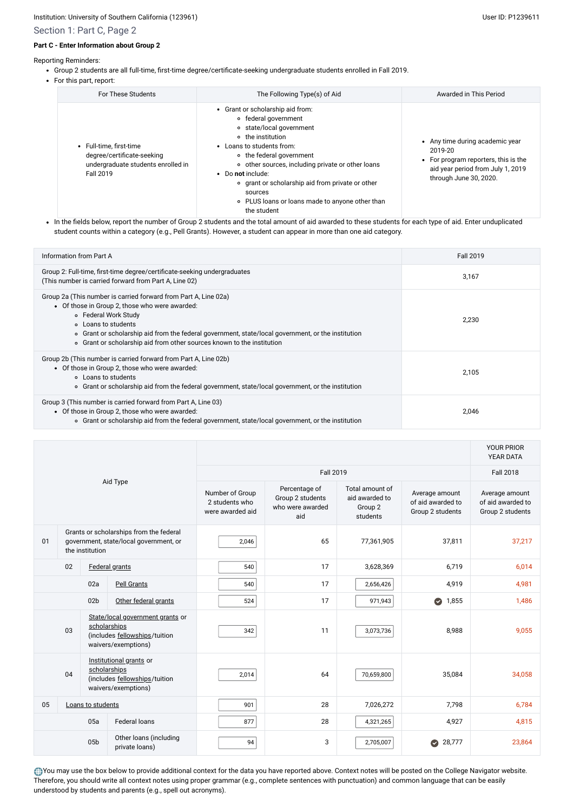- Group 2 students are all full-time, first-time degree/certificate-seeking undergraduate students enrolled in Fall 2019.
- For this part, report:

## Section 1: Part C, Page 2

#### **Part C - Enter Information about Group 2**

Reporting Reminders:

• In the fields below, report the number of Group 2 students and the total amount of aid awarded to these students for each type of aid. Enter unduplicated student counts within a category (e.g., Pell Grants). However, a student can appear in more than one aid category.

| <b>For These Students</b>                                                                                | The Following Type(s) of Aid                                                                                                                                                                                                                                                                                                                                                  | Awarded in This Period                                                                                                                            |
|----------------------------------------------------------------------------------------------------------|-------------------------------------------------------------------------------------------------------------------------------------------------------------------------------------------------------------------------------------------------------------------------------------------------------------------------------------------------------------------------------|---------------------------------------------------------------------------------------------------------------------------------------------------|
| • Full-time, first-time<br>degree/certificate-seeking<br>undergraduate students enrolled in<br>Fall 2019 | • Grant or scholarship aid from:<br>∘ federal government<br>∘ state/local government<br>o the institution<br>• Loans to students from:<br>• the federal government<br>• other sources, including private or other loans<br>• Do not include:<br>• grant or scholarship aid from private or other<br>sources<br>○ PLUS loans or loans made to anyone other than<br>the student | • Any time during academic year<br>2019-20<br>• For program reporters, this is the<br>aid year period from July 1, 2019<br>through June 30, 2020. |

| Information from Part A                                                                                                                                                                                                                                                                                                                          | <b>Fall 2019</b> |
|--------------------------------------------------------------------------------------------------------------------------------------------------------------------------------------------------------------------------------------------------------------------------------------------------------------------------------------------------|------------------|
| Group 2: Full-time, first-time degree/certificate-seeking undergraduates<br>(This number is carried forward from Part A, Line 02)                                                                                                                                                                                                                | 3,167            |
| Group 2a (This number is carried forward from Part A, Line 02a)<br>• Of those in Group 2, those who were awarded:<br>o Federal Work Study<br>○ Loans to students<br>• Grant or scholarship aid from the federal government, state/local government, or the institution<br>• Grant or scholarship aid from other sources known to the institution | 2,230            |
| Group 2b (This number is carried forward from Part A, Line 02b)<br>• Of those in Group 2, those who were awarded:<br>○ Loans to students<br>o Grant or scholarship aid from the federal government, state/local government, or the institution                                                                                                   | 2,105            |
| Group 3 (This number is carried forward from Part A, Line 03)<br>• Of those in Group 2, those who were awarded:<br>o Grant or scholarship aid from the federal government, state/local government, or the institution                                                                                                                            | 2,046            |

You may use the box below to provide additional context for the data you have reported above. Context notes will be posted on the College Navigator website. Therefore, you should write all context notes using proper grammar (e.g., complete sentences with punctuation) and common language that can be easily understood by students and parents (e.g., spell out acronyms).

|                                                                                                            |                           |                 |                                                                                                          |                                                       |                                                              |                                                          |                                                         | <b>YOUR PRIOR</b><br>YEAR DATA                          |
|------------------------------------------------------------------------------------------------------------|---------------------------|-----------------|----------------------------------------------------------------------------------------------------------|-------------------------------------------------------|--------------------------------------------------------------|----------------------------------------------------------|---------------------------------------------------------|---------------------------------------------------------|
|                                                                                                            |                           |                 |                                                                                                          |                                                       | <b>Fall 2019</b>                                             |                                                          |                                                         | <b>Fall 2018</b>                                        |
| Aid Type                                                                                                   |                           |                 |                                                                                                          | Number of Group<br>2 students who<br>were awarded aid | Percentage of<br>Group 2 students<br>who were awarded<br>aid | Total amount of<br>aid awarded to<br>Group 2<br>students | Average amount<br>of aid awarded to<br>Group 2 students | Average amount<br>of aid awarded to<br>Group 2 students |
| Grants or scholarships from the federal<br>01<br>government, state/local government, or<br>the institution |                           | 2,046           | 65                                                                                                       | 77,361,905                                            | 37,811                                                       | 37,217                                                   |                                                         |                                                         |
|                                                                                                            | 02<br>Federal grants      |                 |                                                                                                          | 540                                                   | 17                                                           | 3,628,369                                                | 6,719                                                   | 6,014                                                   |
|                                                                                                            | 02a<br><b>Pell Grants</b> |                 | 540                                                                                                      | 17                                                    | 2,656,426                                                    | 4,919                                                    | 4,981                                                   |                                                         |
|                                                                                                            |                           | 02 <sub>b</sub> | Other federal grants                                                                                     | 524                                                   | 17                                                           | 971,943                                                  | 1,855<br>$\bullet$                                      | 1,486                                                   |
|                                                                                                            | 03                        |                 | State/local government grants or<br>scholarships<br>(includes fellowships/tuition<br>waivers/exemptions) | 342                                                   | 11                                                           | 3,073,736                                                | 8,988                                                   | 9,055                                                   |
| Institutional grants or<br>scholarships<br>04<br>(includes fellowships/tuition<br>waivers/exemptions)      |                           | 2,014           | 64                                                                                                       | 70,659,800                                            | 35,084                                                       | 34,058                                                   |                                                         |                                                         |
| 05<br>Loans to students                                                                                    |                           | 901             | 28                                                                                                       | 7,026,272                                             | 7,798                                                        | 6,784                                                    |                                                         |                                                         |
| 05a<br><b>Federal loans</b>                                                                                |                           | 877             | 28                                                                                                       | 4,321,265                                             | 4,927                                                        | 4,815                                                    |                                                         |                                                         |
| Other loans (including<br>05 <sub>b</sub><br>private loans)                                                |                           | 94              | 3                                                                                                        | 2,705,007                                             | 28,777<br>$\blacktriangledown$                               | 23,864                                                   |                                                         |                                                         |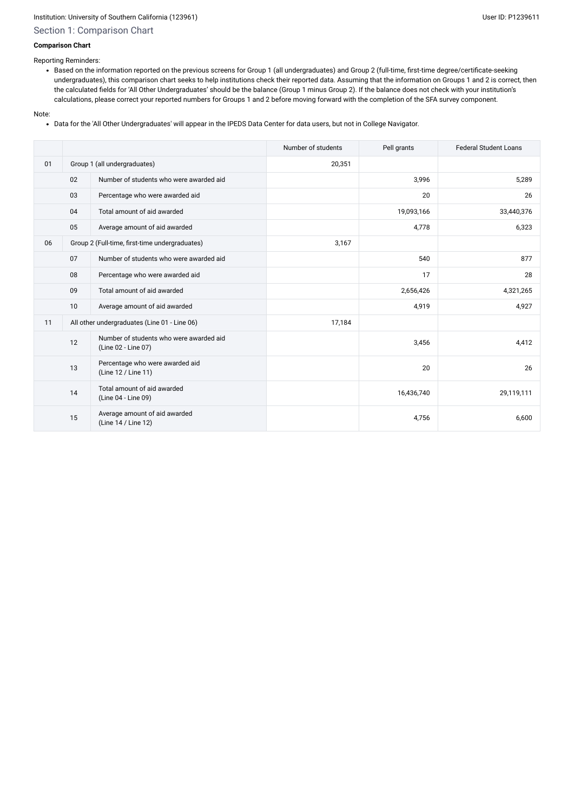## Section 1: Comparison Chart

#### **Comparison Chart**

Reporting Reminders:

Based on the information reported on the previous screens for Group 1 (all undergraduates) and Group 2 (full-time, first-time degree/certificate-seeking undergraduates), this comparison chart seeks to help institutions check their reported data. Assuming that the information on Groups 1 and 2 is correct, then the calculated fields for 'All Other Undergraduates' should be the balance (Group 1 minus Group 2). If the balance does not check with your institution's calculations, please correct your reported numbers for Groups 1 and 2 before moving forward with the completion of the SFA survey component.

#### Note:

Data for the 'All Other Undergraduates' will appear in the IPEDS Data Center for data users, but not in College Navigator.

|    |    |                                                                | Number of students | Pell grants | <b>Federal Student Loans</b> |
|----|----|----------------------------------------------------------------|--------------------|-------------|------------------------------|
| 01 |    | Group 1 (all undergraduates)                                   | 20,351             |             |                              |
|    | 02 | Number of students who were awarded aid                        |                    | 3,996       | 5,289                        |
|    | 03 | Percentage who were awarded aid                                |                    | 20          | 26                           |
|    | 04 | Total amount of aid awarded                                    |                    | 19,093,166  | 33,440,376                   |
|    | 05 | Average amount of aid awarded                                  |                    | 4,778       | 6,323                        |
| 06 |    | Group 2 (Full-time, first-time undergraduates)                 | 3,167              |             |                              |
|    | 07 | Number of students who were awarded aid                        |                    | 540         | 877                          |
|    | 08 | Percentage who were awarded aid                                |                    | 17          | 28                           |
|    | 09 | Total amount of aid awarded                                    |                    | 2,656,426   | 4,321,265                    |
|    | 10 | Average amount of aid awarded                                  |                    | 4,919       | 4,927                        |
| 11 |    | All other undergraduates (Line 01 - Line 06)                   | 17,184             |             |                              |
|    | 12 | Number of students who were awarded aid<br>(Line 02 - Line 07) |                    | 3,456       | 4,412                        |
|    | 13 | Percentage who were awarded aid<br>(Line 12 / Line 11)         |                    | 20          | 26                           |
|    | 14 | Total amount of aid awarded<br>(Line 04 - Line 09)             |                    | 16,436,740  | 29,119,111                   |
|    | 15 | Average amount of aid awarded<br>(Line 14 / Line 12)           |                    | 4,756       | 6,600                        |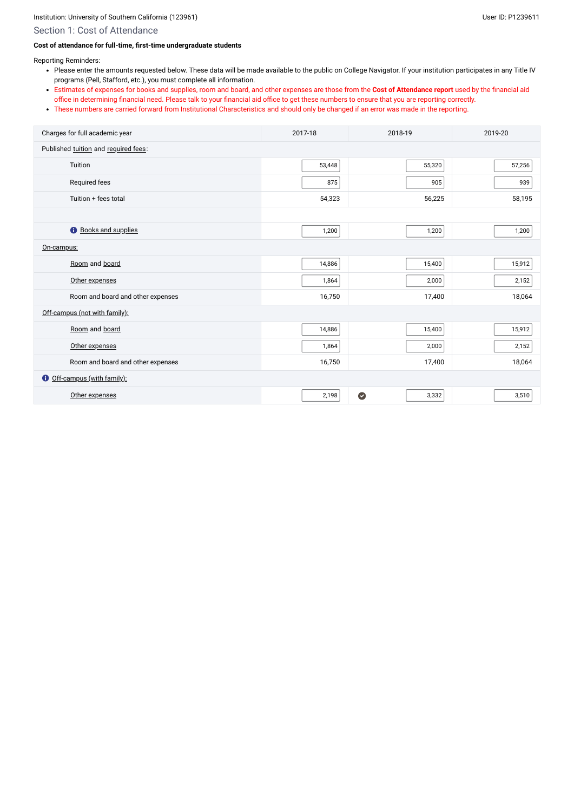## Section 1: Cost of Attendance

#### **Cost of attendance for full-time, first-time undergraduate students**

Reporting Reminders:

- Please enter the amounts requested below. These data will be made available to the public on College Navigator. If your institution participates in any Title IV programs (Pell, Stafford, etc.), you must complete all information.
- Estimates of expenses for books and supplies, room and board, and other expenses are those from the **Cost of Attendance report** used by the financial aid office in determining financial need. Please talk to your financial aid office to get these numbers to ensure that you are reporting correctly.
- These numbers are carried forward from Institutional Characteristics and should only be changed if an error was made in the reporting.

| Charges for full academic year         | 2017-18 | 2018-19            | 2019-20 |  |
|----------------------------------------|---------|--------------------|---------|--|
| Published tuition and required fees:   |         |                    |         |  |
| Tuition                                | 53,448  | 55,320             | 57,256  |  |
| Required fees                          | 875     | 905                | 939     |  |
| Tuition + fees total                   | 54,323  | 56,225             | 58,195  |  |
|                                        |         |                    |         |  |
| $\bullet$<br><b>Books and supplies</b> | 1,200   | 1,200              | 1,200   |  |
| On-campus:                             |         |                    |         |  |
| Room and board                         | 14,886  | 15,400             | 15,912  |  |
| Other expenses                         | 1,864   | 2,000              | 2,152   |  |
| Room and board and other expenses      | 16,750  | 17,400             | 18,064  |  |
| Off-campus (not with family):          |         |                    |         |  |
| Room and board                         | 14,886  | 15,400             | 15,912  |  |
| Other expenses                         | 1,864   | 2,000              | 2,152   |  |
| Room and board and other expenses      | 16,750  | 17,400             | 18,064  |  |
| Off-campus (with family):<br>$\bullet$ |         |                    |         |  |
| Other expenses                         | 2,198   | $\bullet$<br>3,332 | 3,510   |  |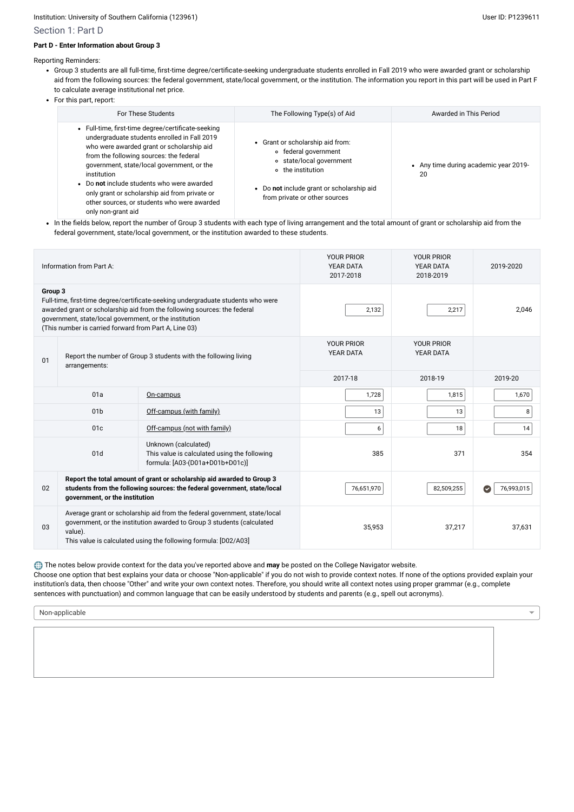## Section 1: Part D

## **Part D - Enter Information about Group 3**

Reporting Reminders:

- Group 3 students are all full-time, first-time degree/certificate-seeking undergraduate students enrolled in Fall 2019 who were awarded grant or scholarship aid from the following sources: the federal government, state/local government, or the institution. The information you report in this part will be used in Part F to calculate average institutional net price.
- For this part, report:

• In the fields below, report the number of Group 3 students with each type of living arrangement and the total amount of grant or scholarship aid from the federal government, state/local government, or the institution awarded to these students.

| For These Students                                                                                                                                                                                                                                                                                                                                                                                                          | The Following Type(s) of Aid                                                                                                                                                            | Awarded in This Period                      |
|-----------------------------------------------------------------------------------------------------------------------------------------------------------------------------------------------------------------------------------------------------------------------------------------------------------------------------------------------------------------------------------------------------------------------------|-----------------------------------------------------------------------------------------------------------------------------------------------------------------------------------------|---------------------------------------------|
| • Full-time, first-time degree/certificate-seeking<br>undergraduate students enrolled in Fall 2019<br>who were awarded grant or scholarship aid<br>from the following sources: the federal<br>government, state/local government, or the<br>institution<br>• Do not include students who were awarded<br>only grant or scholarship aid from private or<br>other sources, or students who were awarded<br>only non-grant aid | • Grant or scholarship aid from:<br>• federal government<br>○ state/local government<br>o the institution<br>• Do not include grant or scholarship aid<br>from private or other sources | • Any time during academic year 2019-<br>20 |

|                                                                                                                | Information from Part A:                                                                                        |                                                                                                                                                                                                                        | <b>YOUR PRIOR</b><br><b>YEAR DATA</b><br>2017-2018 | <b>YOUR PRIOR</b><br>YEAR DATA<br>2018-2019 | 2019-2020                           |
|----------------------------------------------------------------------------------------------------------------|-----------------------------------------------------------------------------------------------------------------|------------------------------------------------------------------------------------------------------------------------------------------------------------------------------------------------------------------------|----------------------------------------------------|---------------------------------------------|-------------------------------------|
| Group 3                                                                                                        | government, state/local government, or the institution<br>(This number is carried forward from Part A, Line 03) | Full-time, first-time degree/certificate-seeking undergraduate students who were<br>awarded grant or scholarship aid from the following sources: the federal                                                           | 2,132                                              | 2,217                                       | 2,046                               |
| Report the number of Group 3 students with the following living<br>01<br>arrangements:                         |                                                                                                                 |                                                                                                                                                                                                                        | <b>YOUR PRIOR</b><br><b>YEAR DATA</b>              | <b>YOUR PRIOR</b><br>YEAR DATA              |                                     |
|                                                                                                                |                                                                                                                 |                                                                                                                                                                                                                        | 2017-18                                            | 2018-19                                     | 2019-20                             |
| 01a<br>On-campus                                                                                               |                                                                                                                 |                                                                                                                                                                                                                        | 1,728                                              | 1,815                                       | 1,670                               |
|                                                                                                                | 01 <sub>b</sub>                                                                                                 | Off-campus (with family)                                                                                                                                                                                               | 13                                                 | 13                                          | 8                                   |
|                                                                                                                | 01c                                                                                                             | Off-campus (not with family)                                                                                                                                                                                           | 6                                                  | 18                                          | 14                                  |
| Unknown (calculated)<br>01d<br>This value is calculated using the following<br>formula: [A03-(D01a+D01b+D01c)] |                                                                                                                 |                                                                                                                                                                                                                        | 385                                                | 371                                         | 354                                 |
| 02                                                                                                             | government, or the institution                                                                                  | Report the total amount of grant or scholarship aid awarded to Group 3<br>students from the following sources: the federal government, state/local                                                                     | 76,651,970                                         | 82,509,255                                  | 76,993,015<br>$(\blacktriangledown$ |
| 03                                                                                                             | value).                                                                                                         | Average grant or scholarship aid from the federal government, state/local<br>government, or the institution awarded to Group 3 students (calculated<br>This value is calculated using the following formula: [D02/A03] | 35,953                                             | 37,217                                      | 37,631                              |

The notes below provide context for the data you've reported above and **may** be posted on the College Navigator website.

Choose one option that best explains your data or choose "Non-applicable" if you do not wish to provide context notes. If none of the options provided explain your institution's data, then choose "Other" and write your own context notes. Therefore, you should write all context notes using proper grammar (e.g., complete sentences with punctuation) and common language that can be easily understood by students and parents (e.g., spell out acronyms).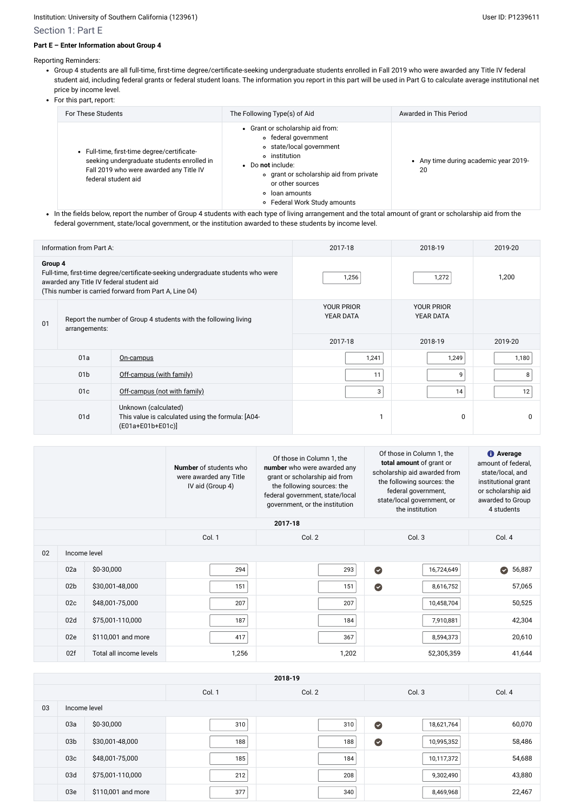- Group 4 students are all full-time, first-time degree/certificate-seeking undergraduate students enrolled in Fall 2019 who were awarded any Title IV federal student aid, including federal grants or federal student loans. The information you report in this part will be used in Part G to calculate average institutional net price by income level.
- For this part, report:

## Section 1: Part E

#### **Part E – Enter Information about Group 4**

Reporting Reminders:

• In the fields below, report the number of Group 4 students with each type of living arrangement and the total amount of grant or scholarship aid from the federal government, state/local government, or the institution awarded to these students by income level.

| For These Students                                                                                                                                          | The Following Type(s) of Aid                                                                                                                                                                                                                | Awarded in This Period                      |
|-------------------------------------------------------------------------------------------------------------------------------------------------------------|---------------------------------------------------------------------------------------------------------------------------------------------------------------------------------------------------------------------------------------------|---------------------------------------------|
| • Full-time, first-time degree/certificate-<br>seeking undergraduate students enrolled in<br>Fall 2019 who were awarded any Title IV<br>federal student aid | • Grant or scholarship aid from:<br>• federal government<br>o state/local government<br>o institution<br>• Do not include:<br>∘ grant or scholarship aid from private<br>or other sources<br>∘ loan amounts<br>• Federal Work Study amounts | • Any time during academic year 2019-<br>20 |

|                                                                                                                                                                                                  | Information from Part A: |                                                                                                     | 2017-18 |                                       | 2018-19     | 2019-20      |
|--------------------------------------------------------------------------------------------------------------------------------------------------------------------------------------------------|--------------------------|-----------------------------------------------------------------------------------------------------|---------|---------------------------------------|-------------|--------------|
| Group 4<br>Full-time, first-time degree/certificate-seeking undergraduate students who were<br>awarded any Title IV federal student aid<br>(This number is carried forward from Part A, Line 04) |                          | 1,256                                                                                               |         | 1,272                                 | 1,200       |              |
| Report the number of Group 4 students with the following living<br>01<br>arrangements:                                                                                                           |                          | <b>YOUR PRIOR</b><br><b>YEAR DATA</b>                                                               |         | <b>YOUR PRIOR</b><br><b>YEAR DATA</b> |             |              |
|                                                                                                                                                                                                  |                          |                                                                                                     | 2017-18 |                                       | 2018-19     | 2019-20      |
|                                                                                                                                                                                                  | 01a                      | On-campus                                                                                           |         | 1,241                                 | 1,249       | 1,180        |
|                                                                                                                                                                                                  | 01 <sub>b</sub>          | Off-campus (with family)                                                                            |         | 11                                    | 9           | 8            |
| 01 <sub>c</sub><br>Off-campus (not with family)                                                                                                                                                  |                          |                                                                                                     | 3       | 14                                    | 12          |              |
| 01d                                                                                                                                                                                              |                          | Unknown (calculated)<br>This value is calculated using the formula: [A04-<br>$[EO1a + E01b + E01c]$ |         |                                       | $\mathbf 0$ | <sup>0</sup> |

|    |                 |                         | <b>Number</b> of students who<br>were awarded any Title<br>IV aid (Group 4) | Of those in Column 1, the<br>number who were awarded any<br>grant or scholarship aid from<br>the following sources: the<br>federal government, state/local<br>government, or the institution | Of those in Column 1, the<br>total amount of grant or<br>scholarship aid awarded from<br>the following sources: the<br>federal government,<br>state/local government, or<br>the institution | <b>1</b> Average<br>amount of federal,<br>state/local, and<br>institutional grant<br>or scholarship aid<br>awarded to Group<br>4 students |
|----|-----------------|-------------------------|-----------------------------------------------------------------------------|----------------------------------------------------------------------------------------------------------------------------------------------------------------------------------------------|---------------------------------------------------------------------------------------------------------------------------------------------------------------------------------------------|-------------------------------------------------------------------------------------------------------------------------------------------|
|    | 2017-18         |                         |                                                                             |                                                                                                                                                                                              |                                                                                                                                                                                             |                                                                                                                                           |
|    |                 |                         | Col. 1                                                                      | Col. 2                                                                                                                                                                                       | Col. 3                                                                                                                                                                                      | Col. 4                                                                                                                                    |
| 02 | Income level    |                         |                                                                             |                                                                                                                                                                                              |                                                                                                                                                                                             |                                                                                                                                           |
|    | 02a             | \$0-30,000              | 294                                                                         | 293                                                                                                                                                                                          | $\bullet$<br>16,724,649                                                                                                                                                                     | 56,887<br>Ø                                                                                                                               |
|    | 02 <sub>b</sub> | \$30,001-48,000         | 151                                                                         | 151                                                                                                                                                                                          | $\bullet$<br>8,616,752                                                                                                                                                                      | 57,065                                                                                                                                    |
|    | 02c             | \$48,001-75,000         | 207                                                                         | 207                                                                                                                                                                                          | 10,458,704                                                                                                                                                                                  | 50,525                                                                                                                                    |
|    | 02d             | \$75,001-110,000        | 187                                                                         | 184                                                                                                                                                                                          | 7,910,881                                                                                                                                                                                   | 42,304                                                                                                                                    |
|    | 02e             | \$110,001 and more      | 417                                                                         | 367                                                                                                                                                                                          | 8,594,373                                                                                                                                                                                   | 20,610                                                                                                                                    |
|    | 02f             | Total all income levels | 1,256                                                                       | 1,202                                                                                                                                                                                        | 52,305,359                                                                                                                                                                                  | 41,644                                                                                                                                    |

|    | 2018-19         |                    |        |        |                         |        |  |
|----|-----------------|--------------------|--------|--------|-------------------------|--------|--|
|    |                 |                    | Col. 1 | Col. 2 | Col. 3                  | Col. 4 |  |
| 03 | Income level    |                    |        |        |                         |        |  |
|    | 03a             | \$0-30,000         | 310    | 310    | $\bullet$<br>18,621,764 | 60,070 |  |
|    | 03 <sub>b</sub> | \$30,001-48,000    | 188    | 188    | $\bullet$<br>10,995,352 | 58,486 |  |
|    | 03c             | \$48,001-75,000    | 185    | 184    | 10,117,372              | 54,688 |  |
|    | 03d             | \$75,001-110,000   | 212    | 208    | 9,302,490               | 43,880 |  |
|    | 03e             | \$110,001 and more | 377    | 340    | 8,469,968               | 22,467 |  |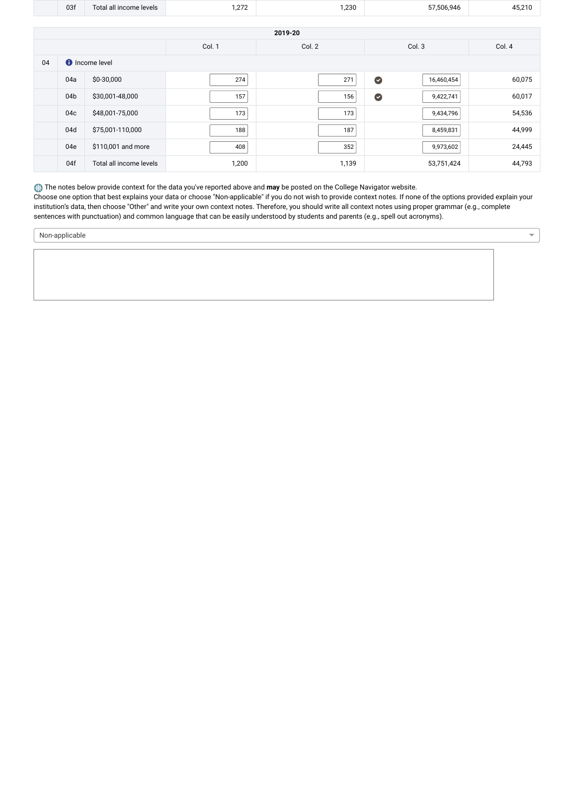|    | 03f                   | Total all income levels | 1,272  | 1,230   | 57,506,946              | 45,210 |  |
|----|-----------------------|-------------------------|--------|---------|-------------------------|--------|--|
|    |                       |                         |        |         |                         |        |  |
|    |                       |                         |        | 2019-20 |                         |        |  |
|    |                       |                         | Col. 1 | Col. 2  | Col. 3                  | Col. 4 |  |
| 04 | <b>f</b> Income level |                         |        |         |                         |        |  |
|    | 04a                   | \$0-30,000              | 274    | 271     | $\bullet$<br>16,460,454 | 60,075 |  |
|    | 04b                   | \$30,001-48,000         | 157    | 156     | $\bullet$<br>9,422,741  | 60,017 |  |
|    | 04c                   | \$48,001-75,000         | 173    | 173     | 9,434,796               | 54,536 |  |
|    | 04d                   | \$75,001-110,000        | 188    | 187     | 8,459,831               | 44,999 |  |

04e \$110,001 and more 408 352 9,973,602 24,445 04f Total all income levels 1,200 1,200 1,200 1,139 53,751,424 53,751,424

The notes below provide context for the data you've reported above and may be posted on the College Navigator website.

Choose one option that best explains your data or choose "Non-applicable" if you do not wish to provide context notes. If none of the options provided explain your institution's data, then choose "Other" and write your own context notes. Therefore, you should write all context notes using proper grammar (e.g., complete sentences with punctuation) and common language that can be easily understood by students and parents (e.g., spell out acronyms).

Non-applicable

 $\overline{\phantom{a}}$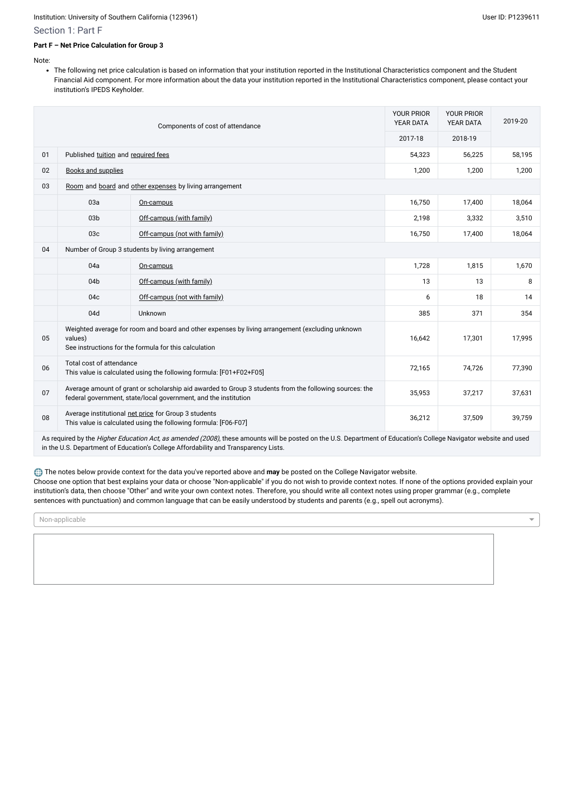#### Section 1: Part F

#### **Part F – Net Price Calculation for Group 3**

Note:

The following net price calculation is based on information that your institution reported in the Institutional Characteristics component and the Student Financial Aid component. For more information about the data your institution reported in the Institutional Characteristics component, please contact your institution's IPEDS Keyholder.

|                                                        | Components of cost of attendance                                                                                                                                                                  |                                                                                                                                                                   | <b>YOUR PRIOR</b><br>YEAR DATA | <b>YOUR PRIOR</b><br>YEAR DATA | 2019-20 |
|--------------------------------------------------------|---------------------------------------------------------------------------------------------------------------------------------------------------------------------------------------------------|-------------------------------------------------------------------------------------------------------------------------------------------------------------------|--------------------------------|--------------------------------|---------|
|                                                        |                                                                                                                                                                                                   |                                                                                                                                                                   | 2017-18                        | 2018-19                        |         |
| 01                                                     | Published tuition and required fees                                                                                                                                                               |                                                                                                                                                                   |                                | 56,225                         | 58,195  |
| 02                                                     | <b>Books and supplies</b>                                                                                                                                                                         |                                                                                                                                                                   | 1,200                          | 1,200                          | 1,200   |
| 03                                                     |                                                                                                                                                                                                   | Room and board and other expenses by living arrangement                                                                                                           |                                |                                |         |
|                                                        | 03a                                                                                                                                                                                               | On-campus                                                                                                                                                         | 16,750                         | 17,400                         | 18,064  |
|                                                        | 03 <sub>b</sub>                                                                                                                                                                                   | Off-campus (with family)                                                                                                                                          | 2,198                          | 3,332                          | 3,510   |
|                                                        | 03c                                                                                                                                                                                               | Off-campus (not with family)                                                                                                                                      | 16,750                         | 17,400                         | 18,064  |
| 04<br>Number of Group 3 students by living arrangement |                                                                                                                                                                                                   |                                                                                                                                                                   |                                |                                |         |
|                                                        | 04a                                                                                                                                                                                               | On-campus                                                                                                                                                         | 1,728                          | 1,815                          | 1,670   |
|                                                        | 04b                                                                                                                                                                                               | Off-campus (with family)                                                                                                                                          | 13                             | 13                             | 8       |
|                                                        | 04c                                                                                                                                                                                               | Off-campus (not with family)                                                                                                                                      | 6                              | 18                             | 14      |
|                                                        | 04d                                                                                                                                                                                               | Unknown                                                                                                                                                           | 385                            | 371                            | 354     |
| 05                                                     | Weighted average for room and board and other expenses by living arrangement (excluding unknown<br>17,995<br>16,642<br>17,301<br>values)<br>See instructions for the formula for this calculation |                                                                                                                                                                   |                                |                                |         |
| 06                                                     | Total cost of attendance                                                                                                                                                                          | This value is calculated using the following formula: [F01+F02+F05]                                                                                               | 72,165                         | 74,726                         | 77,390  |
| 07                                                     | Average amount of grant or scholarship aid awarded to Group 3 students from the following sources: the<br>federal government, state/local government, and the institution                         |                                                                                                                                                                   |                                | 37,217                         | 37,631  |
| 08                                                     |                                                                                                                                                                                                   | Average institutional net price for Group 3 students<br>This value is calculated using the following formula: [F06-F07]                                           | 36,212                         | 37,509                         | 39,759  |
|                                                        |                                                                                                                                                                                                   | As required by the Higher Education Act, as amended (2008), these amounts will be posted on the U.S. Department of Education's College Navigator website and used |                                |                                |         |

in the U.S. Department of Education's College Affordability and Transparency Lists.

The notes below provide context for the data you've reported above and **may** be posted on the College Navigator website.

Choose one option that best explains your data or choose "Non-applicable" if you do not wish to provide context notes. If none of the options provided explain your institution's data, then choose "Other" and write your own context notes. Therefore, you should write all context notes using proper grammar (e.g., complete sentences with punctuation) and common language that can be easily understood by students and parents (e.g., spell out acronyms).

Non-applicable

 $\overline{\phantom{a}}$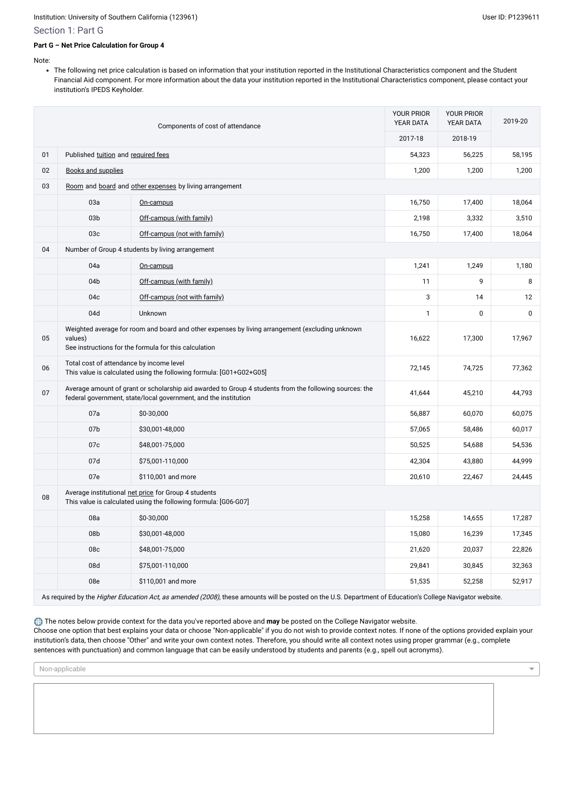#### Section 1: Part G

#### **Part G – Net Price Calculation for Group 4**

Note:

The following net price calculation is based on information that your institution reported in the Institutional Characteristics component and the Student Financial Aid component. For more information about the data your institution reported in the Institutional Characteristics component, please contact your institution's IPEDS Keyholder.

| Components of cost of attendance |                                                                                                                                                                     | <b>YOUR PRIOR</b><br><b>YEAR DATA</b>                                                                                                                                     | <b>YOUR PRIOR</b><br><b>YEAR DATA</b> | 2019-20 |        |
|----------------------------------|---------------------------------------------------------------------------------------------------------------------------------------------------------------------|---------------------------------------------------------------------------------------------------------------------------------------------------------------------------|---------------------------------------|---------|--------|
|                                  |                                                                                                                                                                     |                                                                                                                                                                           | 2017-18                               | 2018-19 |        |
| 01                               | Published tuition and required fees                                                                                                                                 |                                                                                                                                                                           | 54,323                                | 56,225  | 58,195 |
| 02                               | <b>Books and supplies</b>                                                                                                                                           |                                                                                                                                                                           |                                       | 1,200   | 1,200  |
| 03                               |                                                                                                                                                                     | Room and board and other expenses by living arrangement                                                                                                                   |                                       |         |        |
|                                  | 03a                                                                                                                                                                 | On-campus                                                                                                                                                                 | 16,750                                | 17,400  | 18,064 |
|                                  | 03 <sub>b</sub>                                                                                                                                                     | Off-campus (with family)                                                                                                                                                  | 2,198                                 | 3,332   | 3,510  |
|                                  | 03c                                                                                                                                                                 | Off-campus (not with family)                                                                                                                                              | 16,750                                | 17,400  | 18,064 |
| 04                               |                                                                                                                                                                     | Number of Group 4 students by living arrangement                                                                                                                          |                                       |         |        |
|                                  | 04a                                                                                                                                                                 | On-campus                                                                                                                                                                 | 1,241                                 | 1,249   | 1,180  |
|                                  | 04b                                                                                                                                                                 | Off-campus (with family)                                                                                                                                                  | 11                                    | 9       | 8      |
|                                  | 04c                                                                                                                                                                 | Off-campus (not with family)                                                                                                                                              | 3                                     | 14      | 12     |
|                                  | 04d                                                                                                                                                                 | Unknown                                                                                                                                                                   | $\mathbf{1}$                          | 0       | 0      |
| 05                               | Weighted average for room and board and other expenses by living arrangement (excluding unknown<br>values)<br>See instructions for the formula for this calculation |                                                                                                                                                                           | 16,622                                | 17,300  | 17,967 |
| 06                               | Total cost of attendance by income level<br>This value is calculated using the following formula: [G01+G02+G05]                                                     |                                                                                                                                                                           | 72,145                                | 74,725  | 77,362 |
| 07                               |                                                                                                                                                                     | Average amount of grant or scholarship aid awarded to Group 4 students from the following sources: the<br>federal government, state/local government, and the institution | 41,644                                | 45,210  | 44,793 |
|                                  | 07a                                                                                                                                                                 | \$0-30,000                                                                                                                                                                | 56,887                                | 60,070  | 60,075 |
|                                  | 07 <sub>b</sub>                                                                                                                                                     | \$30,001-48,000                                                                                                                                                           | 57,065                                | 58,486  | 60,017 |
|                                  | 07c                                                                                                                                                                 | \$48,001-75,000                                                                                                                                                           | 50,525                                | 54,688  | 54,536 |
|                                  | 07d                                                                                                                                                                 | \$75,001-110,000                                                                                                                                                          | 42,304                                | 43,880  | 44,999 |
|                                  | 07e                                                                                                                                                                 | \$110,001 and more                                                                                                                                                        | 20,610                                | 22,467  | 24,445 |
| ${\bf 08}$                       |                                                                                                                                                                     | Average institutional net price for Group 4 students<br>This value is calculated using the following formula: [G06-G07]                                                   |                                       |         |        |
|                                  | 08a                                                                                                                                                                 | \$0-30,000                                                                                                                                                                | 15,258                                | 14,655  | 17,287 |
|                                  | 08b                                                                                                                                                                 | \$30,001-48,000                                                                                                                                                           | 15,080                                | 16,239  | 17,345 |
|                                  | 08c                                                                                                                                                                 | \$48,001-75,000                                                                                                                                                           | 21,620                                | 20,037  | 22,826 |
|                                  | 08d                                                                                                                                                                 | \$75,001-110,000                                                                                                                                                          | 29,841                                | 30,845  | 32,363 |
|                                  | 08e                                                                                                                                                                 | \$110,001 and more                                                                                                                                                        | 51,535                                | 52,258  | 52,917 |

As required by the Higher Education Act, as amended (2008), these amounts will be posted on the U.S. Department of Education's College Navigator website.

The notes below provide context for the data you've reported above and may be posted on the College Navigator website. Choose one option that best explains your data or choose "Non-applicable" if you do not wish to provide context notes. If none of the options provided explain your institution's data, then choose "Other" and write your own context notes. Therefore, you should write all context notes using proper grammar (e.g., complete sentences with punctuation) and common language that can be easily understood by students and parents (e.g., spell out acronyms).

Non-applicable

 $\overline{\phantom{0}}$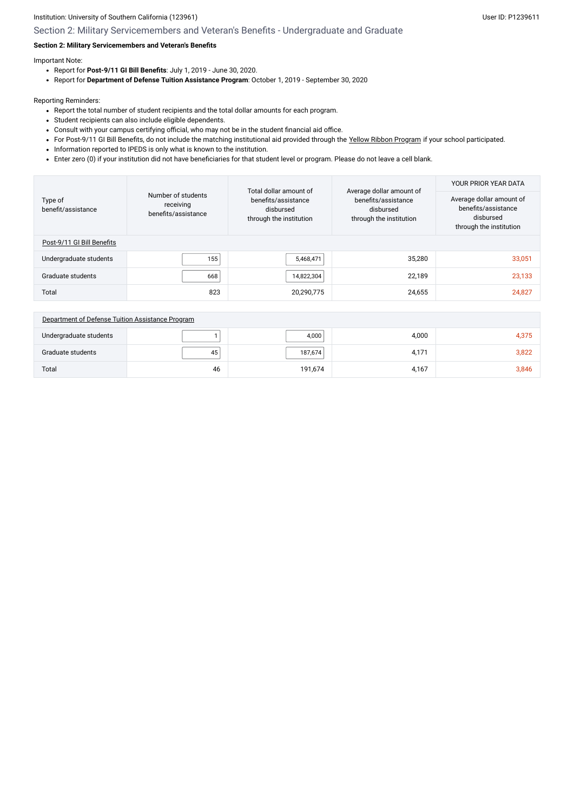## Section 2: Military Servicemembers and Veteran's Benefits - Undergraduate and Graduate

## **Section 2: Military Servicemembers and Veteran's Benefits**

Important Note:

- Report for **Post-9/11 GI Bill Benefits**: July 1, 2019 June 30, 2020.
- Report for **Department of Defense Tuition Assistance Program**: October 1, 2019 September 30, 2020

Reporting Reminders:

- Report the total number of student recipients and the total dollar amounts for each program.
- Student recipients can also include eligible dependents.
- Consult with your campus certifying official, who may not be in the student financial aid office.
- For Post-9/11 GI Bill Benefits, do not include the matching institutional aid provided through the Yellow [Ribbon Program](javascript:openglossary(1044)) if your school participated.
- Information reported to IPEDS is only what is known to the institution.
- Enter zero (0) if your institution did not have beneficiaries for that student level or program. Please do not leave a cell blank.

|                               |                                                        | Total dollar amount of                                      | Average dollar amount of                                    | YOUR PRIOR YEAR DATA                                                                    |
|-------------------------------|--------------------------------------------------------|-------------------------------------------------------------|-------------------------------------------------------------|-----------------------------------------------------------------------------------------|
| Type of<br>benefit/assistance | Number of students<br>receiving<br>benefits/assistance | benefits/assistance<br>disbursed<br>through the institution | benefits/assistance<br>disbursed<br>through the institution | Average dollar amount of<br>benefits/assistance<br>disbursed<br>through the institution |
| Post-9/11 GI Bill Benefits    |                                                        |                                                             |                                                             |                                                                                         |
| Undergraduate students        | 155                                                    | 5,468,471                                                   | 35,280                                                      | 33,051                                                                                  |
| Graduate students             | 668                                                    | 14,822,304                                                  | 22,189                                                      | 23,133                                                                                  |
| Total                         | 823                                                    | 20,290,775                                                  | 24,655                                                      | 24,827                                                                                  |

| Department of Defense Tuition Assistance Program |    |         |       |       |
|--------------------------------------------------|----|---------|-------|-------|
| Undergraduate students                           |    | 4,000   | 4,000 | 4,375 |
| Graduate students                                | 45 | 187,674 | 4,171 | 3,822 |
| Total                                            | 46 | 191,674 | 4,167 | 3,846 |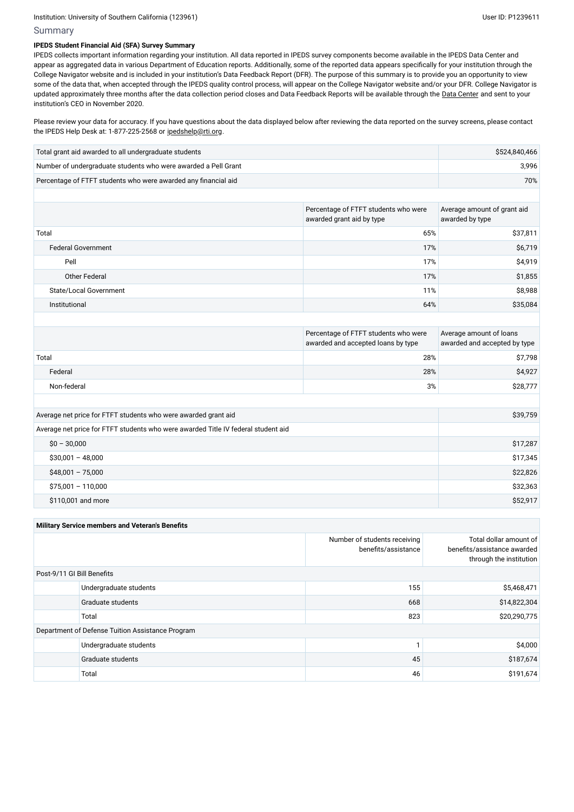## Summary

## **IPEDS Student Financial Aid (SFA) Survey Summary**

Please review your data for accuracy. If you have questions about the data displayed below after reviewing the data reported on the survey screens, please contact the IPEDS Help Desk at: 1-877-225-2568 or [ipedshelp@rti.org](mailto:ipedshelp@rti.org).

IPEDS collects important information regarding your institution. All data reported in IPEDS survey components become available in the IPEDS Data Center and appear as aggregated data in various Department of Education reports. Additionally, some of the reported data appears specifically for your institution through the College Navigator website and is included in your institution's Data Feedback Report (DFR). The purpose of this summary is to provide you an opportunity to view some of the data that, when accepted through the IPEDS quality control process, will appear on the College Navigator website and/or your DFR. College Navigator is updated approximately three months after the data collection period closes and Data Feedback Reports will be available through the Data [Center](https://nces.ed.gov/ipeds/use-the-data) and sent to your institution's CEO in November 2020.

| Total grant aid awarded to all undergraduate students          | \$524,840,466 |
|----------------------------------------------------------------|---------------|
| Number of undergraduate students who were awarded a Pell Grant | 3,996         |
| Percentage of FTFT students who were awarded any financial aid | 70%           |

|                               | Percentage of FTFT students who were<br>awarded grant aid by type | Average amount of grant aid<br>awarded by type |
|-------------------------------|-------------------------------------------------------------------|------------------------------------------------|
| Total                         | 65%                                                               | \$37,811                                       |
| <b>Federal Government</b>     | 17%                                                               | \$6,719                                        |
| Pell                          | 17%                                                               | \$4,919                                        |
| Other Federal                 | 17%                                                               | \$1,855                                        |
| <b>State/Local Government</b> | 11%                                                               | \$8,988                                        |
| Institutional                 | 64%                                                               | \$35,084                                       |
|                               |                                                                   |                                                |

|             | Percentage of FTFT students who were<br>awarded and accepted loans by type | Average amount of loans<br>awarded and accepted by type |
|-------------|----------------------------------------------------------------------------|---------------------------------------------------------|
| Total       | 28%                                                                        | \$7,798                                                 |
| Federal     | 28%                                                                        | \$4,927                                                 |
| Non-federal | 3%                                                                         | \$28,777                                                |

| Average net price for FTFT students who were awarded grant aid                    | \$39,759 |
|-----------------------------------------------------------------------------------|----------|
| Average net price for FTFT students who were awarded Title IV federal student aid |          |
| $$0 - 30,000$                                                                     | \$17,287 |
| $$30,001 - 48,000$                                                                | \$17,345 |
| $$48,001 - 75,000$                                                                | \$22,826 |
| $$75,001 - 110,000$                                                               | \$32,363 |
| \$110,001 and more                                                                | \$52,917 |

| <b>Military Service members and Veteran's Benefits</b> |                        |                                                     |                                                                                  |  |  |  |  |
|--------------------------------------------------------|------------------------|-----------------------------------------------------|----------------------------------------------------------------------------------|--|--|--|--|
|                                                        |                        | Number of students receiving<br>benefits/assistance | Total dollar amount of<br>benefits/assistance awarded<br>through the institution |  |  |  |  |
| Post-9/11 GI Bill Benefits                             |                        |                                                     |                                                                                  |  |  |  |  |
|                                                        | Undergraduate students | 155                                                 | \$5,468,471                                                                      |  |  |  |  |
|                                                        | Graduate students      | 668                                                 | \$14,822,304                                                                     |  |  |  |  |
|                                                        | Total                  | 823                                                 | \$20,290,775                                                                     |  |  |  |  |
| Department of Defense Tuition Assistance Program       |                        |                                                     |                                                                                  |  |  |  |  |
|                                                        | Undergraduate students |                                                     | \$4,000                                                                          |  |  |  |  |
|                                                        | Graduate students      | 45                                                  | \$187,674                                                                        |  |  |  |  |
|                                                        | Total                  | 46                                                  | \$191,674                                                                        |  |  |  |  |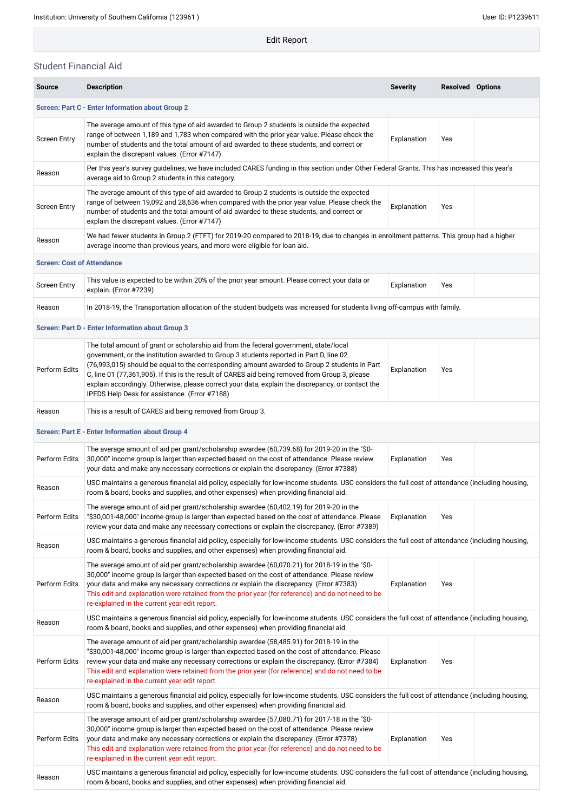Edit Report

## Student Financial Aid

| <b>Source</b>                                           | <b>Description</b>                                                                                                                                                                                                                                                                                                                                                                                                                                                                                                                      | <b>Severity</b> | <b>Resolved Options</b> |  |  |  |  |
|---------------------------------------------------------|-----------------------------------------------------------------------------------------------------------------------------------------------------------------------------------------------------------------------------------------------------------------------------------------------------------------------------------------------------------------------------------------------------------------------------------------------------------------------------------------------------------------------------------------|-----------------|-------------------------|--|--|--|--|
| <b>Screen: Part C - Enter Information about Group 2</b> |                                                                                                                                                                                                                                                                                                                                                                                                                                                                                                                                         |                 |                         |  |  |  |  |
| <b>Screen Entry</b>                                     | The average amount of this type of aid awarded to Group 2 students is outside the expected<br>range of between 1,189 and 1,783 when compared with the prior year value. Please check the<br>number of students and the total amount of aid awarded to these students, and correct or<br>explain the discrepant values. (Error #7147)                                                                                                                                                                                                    | Explanation     | Yes                     |  |  |  |  |
| Reason                                                  | Per this year's survey guidelines, we have included CARES funding in this section under Other Federal Grants. This has increased this year's<br>average aid to Group 2 students in this category.                                                                                                                                                                                                                                                                                                                                       |                 |                         |  |  |  |  |
| <b>Screen Entry</b>                                     | The average amount of this type of aid awarded to Group 2 students is outside the expected<br>range of between 19,092 and 28,636 when compared with the prior year value. Please check the<br>number of students and the total amount of aid awarded to these students, and correct or<br>explain the discrepant values. (Error #7147)                                                                                                                                                                                                  | Explanation     | Yes                     |  |  |  |  |
| Reason                                                  | We had fewer students in Group 2 (FTFT) for 2019-20 compared to 2018-19, due to changes in enrollment patterns. This group had a higher<br>average income than previous years, and more were eligible for loan aid.                                                                                                                                                                                                                                                                                                                     |                 |                         |  |  |  |  |
| <b>Screen: Cost of Attendance</b>                       |                                                                                                                                                                                                                                                                                                                                                                                                                                                                                                                                         |                 |                         |  |  |  |  |
| <b>Screen Entry</b>                                     | This value is expected to be within 20% of the prior year amount. Please correct your data or<br>explain. (Error #7239)                                                                                                                                                                                                                                                                                                                                                                                                                 | Explanation     | Yes                     |  |  |  |  |
| Reason                                                  | In 2018-19, the Transportation allocation of the student budgets was increased for students living off-campus with family.                                                                                                                                                                                                                                                                                                                                                                                                              |                 |                         |  |  |  |  |
|                                                         | <b>Screen: Part D - Enter Information about Group 3</b>                                                                                                                                                                                                                                                                                                                                                                                                                                                                                 |                 |                         |  |  |  |  |
| Perform Edits                                           | The total amount of grant or scholarship aid from the federal government, state/local<br>government, or the institution awarded to Group 3 students reported in Part D, line 02<br>(76,993,015) should be equal to the corresponding amount awarded to Group 2 students in Part<br>C, line 01 (77,361,905). If this is the result of CARES aid being removed from Group 3, please<br>explain accordingly. Otherwise, please correct your data, explain the discrepancy, or contact the<br>IPEDS Help Desk for assistance. (Error #7188) | Explanation     | Yes                     |  |  |  |  |
| Reason                                                  | This is a result of CARES aid being removed from Group 3.                                                                                                                                                                                                                                                                                                                                                                                                                                                                               |                 |                         |  |  |  |  |
|                                                         | <b>Screen: Part E - Enter Information about Group 4</b>                                                                                                                                                                                                                                                                                                                                                                                                                                                                                 |                 |                         |  |  |  |  |
| Perform Edits                                           | The average amount of aid per grant/scholarship awardee (60,739.68) for 2019-20 in the "\$0-<br>30,000" income group is larger than expected based on the cost of attendance. Please review<br>your data and make any necessary corrections or explain the discrepancy. (Error #7388)                                                                                                                                                                                                                                                   | Explanation     | Yes                     |  |  |  |  |
| Reason                                                  | USC maintains a generous financial aid policy, especially for low-income students. USC considers the full cost of attendance (including housing,<br>room & board, books and supplies, and other expenses) when providing financial aid.                                                                                                                                                                                                                                                                                                 |                 |                         |  |  |  |  |
| Perform Edits                                           | The average amount of aid per grant/scholarship awardee (60,402.19) for 2019-20 in the<br>"\$30,001-48,000" income group is larger than expected based on the cost of attendance. Please<br>review your data and make any necessary corrections or explain the discrepancy. (Error #7389)                                                                                                                                                                                                                                               | Explanation     | Yes                     |  |  |  |  |
| Reason                                                  | USC maintains a generous financial aid policy, especially for low-income students. USC considers the full cost of attendance (including housing,<br>room & board, books and supplies, and other expenses) when providing financial aid.                                                                                                                                                                                                                                                                                                 |                 |                         |  |  |  |  |
| Perform Edits                                           | The average amount of aid per grant/scholarship awardee (60,070.21) for 2018-19 in the "\$0-<br>30,000" income group is larger than expected based on the cost of attendance. Please review<br>your data and make any necessary corrections or explain the discrepancy. (Error #7383)<br>This edit and explanation were retained from the prior year (for reference) and do not need to be<br>re-explained in the current year edit report.                                                                                             | Explanation     | Yes                     |  |  |  |  |
| Reason                                                  | USC maintains a generous financial aid policy, especially for low-income students. USC considers the full cost of attendance (including housing,<br>room & board, books and supplies, and other expenses) when providing financial aid.                                                                                                                                                                                                                                                                                                 |                 |                         |  |  |  |  |
| Perform Edits                                           | The average amount of aid per grant/scholarship awardee (58,485.91) for 2018-19 in the<br>"\$30,001-48,000" income group is larger than expected based on the cost of attendance. Please<br>review your data and make any necessary corrections or explain the discrepancy. (Error #7384)<br>This edit and explanation were retained from the prior year (for reference) and do not need to be<br>re-explained in the current year edit report.                                                                                         | Explanation     | Yes                     |  |  |  |  |
| Reason                                                  | USC maintains a generous financial aid policy, especially for low-income students. USC considers the full cost of attendance (including housing,<br>room & board, books and supplies, and other expenses) when providing financial aid.                                                                                                                                                                                                                                                                                                 |                 |                         |  |  |  |  |
| Perform Edits                                           | The average amount of aid per grant/scholarship awardee (57,080.71) for 2017-18 in the "\$0-<br>30,000" income group is larger than expected based on the cost of attendance. Please review<br>your data and make any necessary corrections or explain the discrepancy. (Error #7378)<br>This edit and explanation were retained from the prior year (for reference) and do not need to be<br>re-explained in the current year edit report.                                                                                             | Explanation     | Yes                     |  |  |  |  |
| Reason                                                  | USC maintains a generous financial aid policy, especially for low-income students. USC considers the full cost of attendance (including housing,<br>room & board, books and supplies, and other expenses) when providing financial aid.                                                                                                                                                                                                                                                                                                 |                 |                         |  |  |  |  |